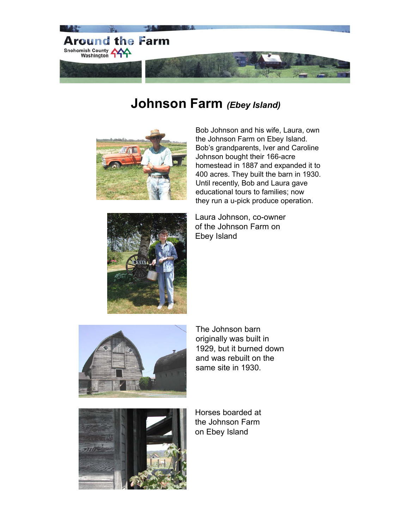

## **Johnson Farm** *(Ebey Island)*



Bob Johnson and his wife, Laura, own the Johnson Farm on Ebey Island. Bob's grandparents, Iver and Caroline Johnson bought their 166-acre homestead in 1887 and expanded it to 400 acres. They built the barn in 1930. Until recently, Bob and Laura gave educational tours to families; now they run a u-pick produce operation.



Laura Johnson, co-owner of the Johnson Farm on Ebey Island



The Johnson barn originally was built in 1929, but it burned down and was rebuilt on the same site in 1930.



Horses boarded at the Johnson Farm on Ebey Island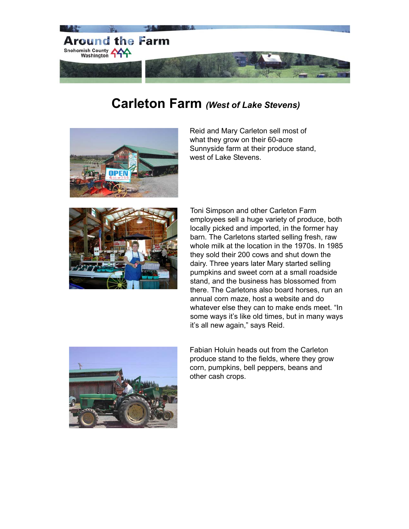

# **Carleton Farm** *(West of Lake Stevens)*



Reid and Mary Carleton sell most of what they grow on their 60-acre Sunnyside farm at their produce stand, west of Lake Stevens.



Toni Simpson and other Carleton Farm employees sell a huge variety of produce, both locally picked and imported, in the former hay barn. The Carletons started selling fresh, raw whole milk at the location in the 1970s. In 1985 they sold their 200 cows and shut down the dairy. Three years later Mary started selling pumpkins and sweet corn at a small roadside stand, and the business has blossomed from there. The Carletons also board horses, run an annual corn maze, host a website and do whatever else they can to make ends meet. "In some ways it's like old times, but in many ways it's all new again," says Reid.



Fabian Holuin heads out from the Carleton produce stand to the fields, where they grow corn, pumpkins, bell peppers, beans and other cash crops.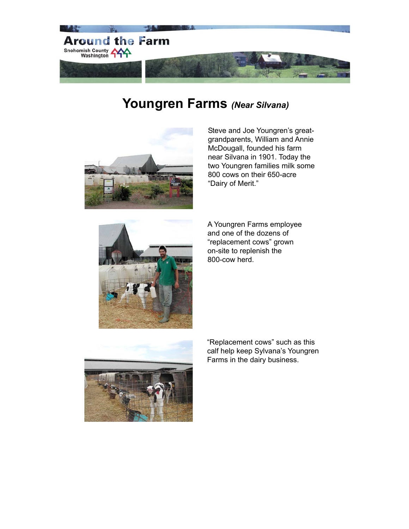

# **Youngren Farms** *(Near Silvana)*



Steve and Joe Youngren's greatgrandparents, William and Annie McDougall, founded his farm near Silvana in 1901. Today the two Youngren families milk some 800 cows on their 650-acre "Dairy of Merit."



A Youngren Farms employee and one of the dozens of "replacement cows" grown on-site to replenish the 800-cow herd.



"Replacement cows" such as this calf help keep Sylvana's Youngren Farms in the dairy business.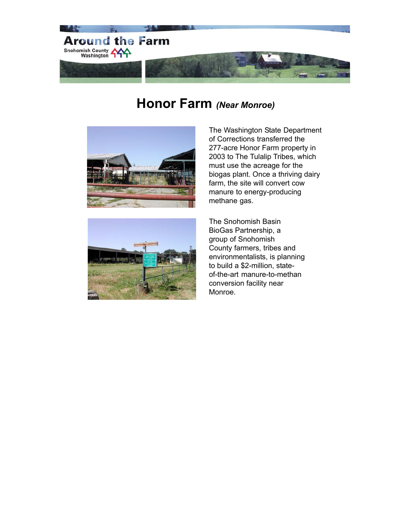

#### **Honor Farm** *(Near Monroe)*





The Washington State Department of Corrections transferred the 277-acre Honor Farm property in 2003 to The Tulalip Tribes, which must use the acreage for the biogas plant. Once a thriving dairy farm, the site will convert cow manure to energy-producing methane gas.

The Snohomish Basin BioGas Partnership, a group of Snohomish County farmers, tribes and environmentalists, is planning to build a \$2-million, stateof-the-art manure-to-methan conversion facility near Monroe.